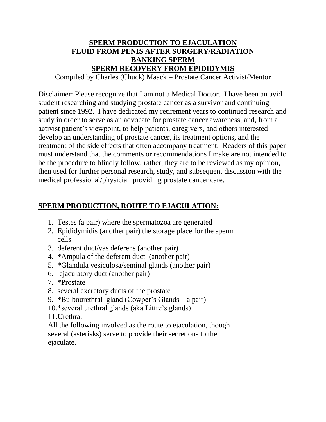# **SPERM PRODUCTION TO EJACULATION FLUID FROM PENIS AFTER SURGERY/RADIATION BANKING SPERM SPERM RECOVERY FROM EPIDIDYMIS**

Compiled by Charles (Chuck) Maack – Prostate Cancer Activist/Mentor

Disclaimer: Please recognize that I am not a Medical Doctor. I have been an avid student researching and studying prostate cancer as a survivor and continuing patient since 1992. I have dedicated my retirement years to continued research and study in order to serve as an advocate for prostate cancer awareness, and, from a activist patient's viewpoint, to help patients, caregivers, and others interested develop an understanding of prostate cancer, its treatment options, and the treatment of the side effects that often accompany treatment. Readers of this paper must understand that the comments or recommendations I make are not intended to be the procedure to blindly follow; rather, they are to be reviewed as my opinion, then used for further personal research, study, and subsequent discussion with the medical professional/physician providing prostate cancer care.

## **SPERM PRODUCTION, ROUTE TO EJACULATION:**

- 1. Testes (a pair) where the spermatozoa are generated
- 2. Epididymidis (another pair) the storage place for the sperm cells
- 3. deferent duct/vas deferens (another pair)
- 4. \*Ampula of the deferent duct (another pair)
- 5. \*Glandula vesiculosa/seminal glands (another pair)
- 6. ejaculatory duct (another pair)
- 7. \*Prostate
- 8. several excretory ducts of the prostate
- 9. \*Bulbourethral gland (Cowper's Glands a pair)
- 10.\*several urethral glands (aka Littre's glands)
- 11.Urethra.

All the following involved as the route to ejaculation, though several (asterisks) serve to provide their secretions to the ejaculate.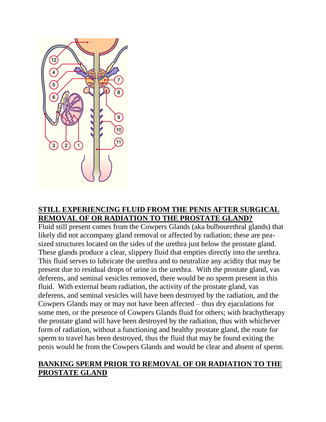

### **STILL EXPERIENCING FLUID FROM THE PENIS AFTER SURGICAL REMOVAL OF OR RADIATION TO THE PROSTATE GLAND?**

Fluid still present comes from the Cowpers Glands (aka bulbourethral glands) that likely did not accompany gland removal or affected by radiation; these are peasized structures located on the sides of the urethra just below the prostate gland. These glands produce a clear, slippery fluid that empties directly into the urethra. This fluid serves to lubricate the urethra and to neutralize any acidity that may be present due to residual drops of urine in the urethra. With the prostate gland, vas deferens, and seminal vesicles removed, there would be no sperm present in this fluid. With external beam radiation, the activity of the prostate gland, vas deferens, and seminal vesicles will have been destroyed by the radiation, and the Cowpers Glands may or may not have been affected – thus dry ejaculations for some men, or the presence of Cowpers Glands fluid for others; with brachytherapy the prostate gland will have been destroyed by the radiation, thus with whichever form of radiation, without a functioning and healthy prostate gland, the route for sperm to travel has been destroyed, thus the fluid that may be found exiting the penis would be from the Cowpers Glands and would be clear and absent of sperm.

## **BANKING SPERM PRIOR TO REMOVAL OF OR RADIATION TO THE PROSTATE GLAND**